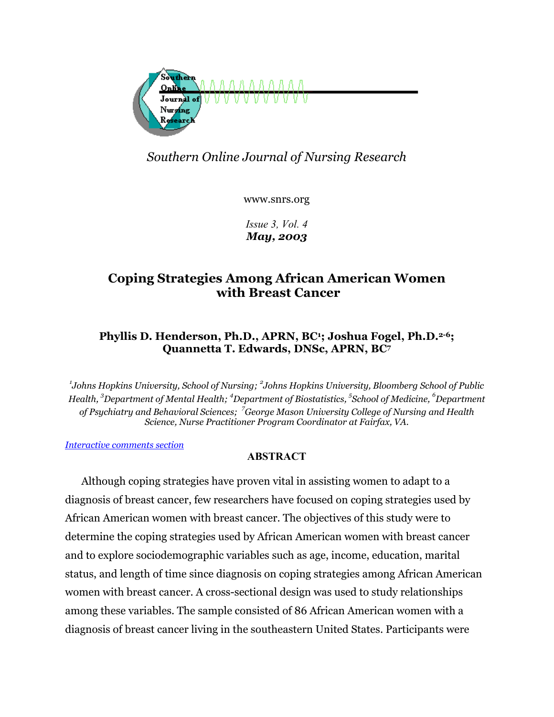

# *Southern Online Journal of Nursing Research*

www.snrs.org

*Issue 3, Vol. 4 May, 2003*

# **Coping Strategies Among African American Women with Breast Cancer**

# **Phyllis D. Henderson, Ph.D., APRN, BC1; Joshua Fogel, Ph.D.2-6; Quannetta T. Edwards, DNSc, APRN, BC7**

*1 Johns Hopkins University, School of Nursing; <sup>2</sup> Johns Hopkins University, Bloomberg School of Public Health, 3 Department of Mental Health; 4 Department of Biostatistics, 5 School of Medicine, <sup>6</sup> Department of Psychiatry and Behavioral Sciences; <sup>7</sup> George Mason University College of Nursing and Health Science, Nurse Practitioner Program Coordinator at Fairfax, VA.* 

*[Interactive comments section](#page-20-0)*

# **ABSTRACT**

Although coping strategies have proven vital in assisting women to adapt to a diagnosis of breast cancer, few researchers have focused on coping strategies used by African American women with breast cancer. The objectives of this study were to determine the coping strategies used by African American women with breast cancer and to explore sociodemographic variables such as age, income, education, marital status, and length of time since diagnosis on coping strategies among African American women with breast cancer. A cross-sectional design was used to study relationships among these variables. The sample consisted of 86 African American women with a diagnosis of breast cancer living in the southeastern United States. Participants were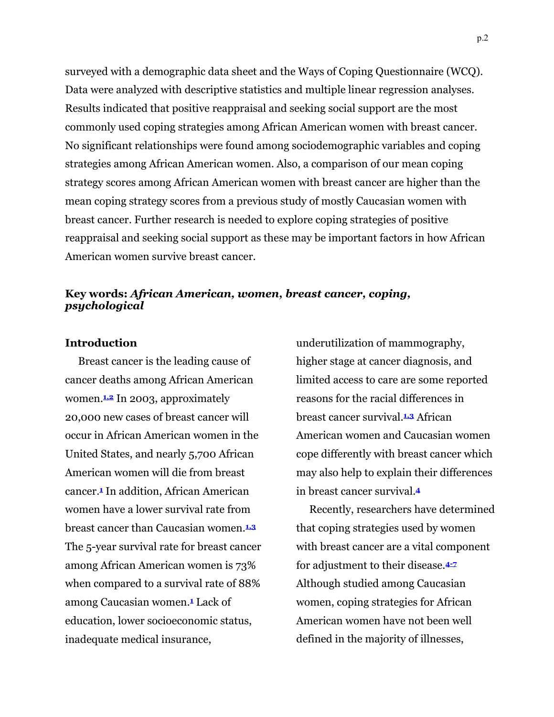surveyed with a demographic data sheet and the Ways of Coping Questionnaire (WCQ). Data were analyzed with descriptive statistics and multiple linear regression analyses. Results indicated that positive reappraisal and seeking social support are the most commonly used coping strategies among African American women with breast cancer. No significant relationships were found among sociodemographic variables and coping strategies among African American women. Also, a comparison of our mean coping strategy scores among African American women with breast cancer are higher than the mean coping strategy scores from a previous study of mostly Caucasian women with breast cancer. Further research is needed to explore coping strategies of positive reappraisal and seeking social support as these may be important factors in how African American women survive breast cancer.

#### **Key words:** *African American, women, breast cancer, coping, psychological*

#### **Introduction**

Breast cancer is the leading cause of cancer deaths among African American women.**1,2** In 2003, approximately 20,000 new cases of breast cancer will occur in African American women in the United States, and nearly 5,700 African American women will die from breast cancer.**1** In addition, African American women have a lower survival rate from breast cancer than Caucasian women.**1,3** The 5-year survival rate for breast cancer among African American women is 73% when compared to a survival rate of 88% among Caucasian women.**1** Lack of education, lower socioeconomic status, inadequate medical insurance,

underutilization of mammography, higher stage at cancer diagnosis, and limited access to care are some reported reasons for the racial differences in breast cancer survival.**1,3** African American women and Caucasian women cope differently with breast cancer which may also help to explain their differences in breast cancer survival.**<sup>4</sup>**

Recently, researchers have determined that coping strategies used by women with breast cancer are a vital component for adjustment to their disease.**4-7** Although studied among Caucasian women, coping strategies for African American women have not been well defined in the majority of illnesses,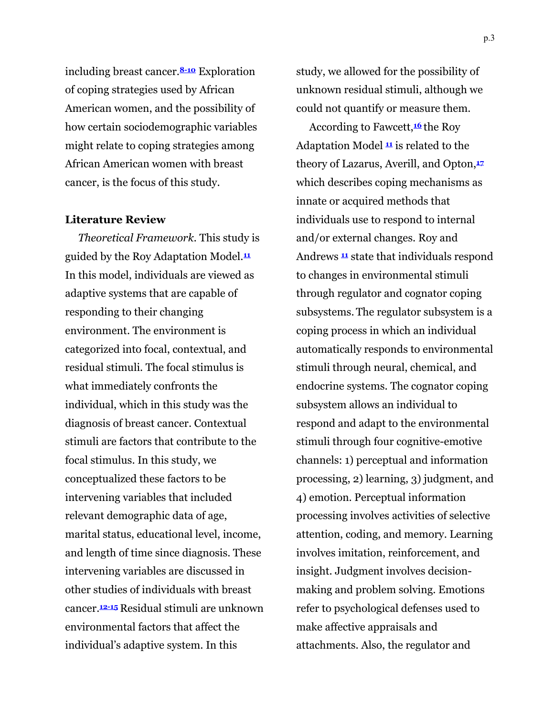including breast cancer.**8-10** Exploration of coping strategies used by African American women, and the possibility of how certain sociodemographic variables might relate to coping strategies among African American women with breast cancer, is the focus of this study.

#### **Literature Review**

*Theoretical Framework.* This study is guided by the Roy Adaptation Model.**<sup>11</sup>** In this model, individuals are viewed as adaptive systems that are capable of responding to their changing environment. The environment is categorized into focal, contextual, and residual stimuli. The focal stimulus is what immediately confronts the individual, which in this study was the diagnosis of breast cancer. Contextual stimuli are factors that contribute to the focal stimulus. In this study, we conceptualized these factors to be intervening variables that included relevant demographic data of age, marital status, educational level, income, and length of time since diagnosis. These intervening variables are discussed in other studies of individuals with breast cancer.**12-15** Residual stimuli are unknown environmental factors that affect the individual's adaptive system. In this

study, we allowed for the possibility of unknown residual stimuli, although we could not quantify or measure them.

According to Fawcett,**<sup>16</sup>** the Roy Adaptation Model **<sup>11</sup>** is related to the theory of Lazarus, Averill, and Opton,**<sup>17</sup>** which describes coping mechanisms as innate or acquired methods that individuals use to respond to internal and/or external changes. Roy and Andrews **<sup>11</sup>** state that individuals respond to changes in environmental stimuli through regulator and cognator coping subsystems. The regulator subsystem is a coping process in which an individual automatically responds to environmental stimuli through neural, chemical, and endocrine systems. The cognator coping subsystem allows an individual to respond and adapt to the environmental stimuli through four cognitive-emotive channels: 1) perceptual and information processing, 2) learning, 3) judgment, and 4) emotion. Perceptual information processing involves activities of selective attention, coding, and memory. Learning involves imitation, reinforcement, and insight. Judgment involves decisionmaking and problem solving. Emotions refer to psychological defenses used to make affective appraisals and attachments. Also, the regulator and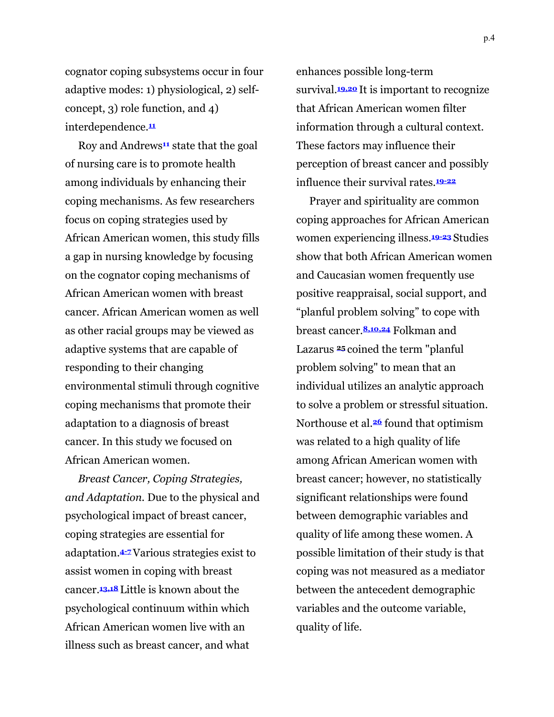cognator coping subsystems occur in four adaptive modes: 1) physiological, 2) selfconcept, 3) role function, and 4) interdependence.**<sup>11</sup>**

Roy and Andrews**11** state that the goal of nursing care is to promote health among individuals by enhancing their coping mechanisms. As few researchers focus on coping strategies used by African American women, this study fills a gap in nursing knowledge by focusing on the cognator coping mechanisms of African American women with breast cancer. African American women as well as other racial groups may be viewed as adaptive systems that are capable of responding to their changing environmental stimuli through cognitive coping mechanisms that promote their adaptation to a diagnosis of breast cancer. In this study we focused on African American women.

*Breast Cancer, Coping Strategies, and Adaptation.* Due to the physical and psychological impact of breast cancer, coping strategies are essential for adaptation.**4-7**Various strategies exist to assist women in coping with breast cancer.**13,18** Little is known about the psychological continuum within which African American women live with an illness such as breast cancer, and what

enhances possible long-term survival.**19,20** It is important to recognize that African American women filter information through a cultural context. These factors may influence their perception of breast cancer and possibly influence their survival rates.**19-22**

Prayer and spirituality are common coping approaches for African American women experiencing illness.**19-23** Studies show that both African American women and Caucasian women frequently use positive reappraisal, social support, and "planful problem solving" to cope with breast cancer.**8,10,24** Folkman and Lazarus **<sup>25</sup>** coined the term "planful problem solving" to mean that an individual utilizes an analytic approach to solve a problem or stressful situation. Northouse et al.**26** found that optimism was related to a high quality of life among African American women with breast cancer; however, no statistically significant relationships were found between demographic variables and quality of life among these women. A possible limitation of their study is that coping was not measured as a mediator between the antecedent demographic variables and the outcome variable, quality of life.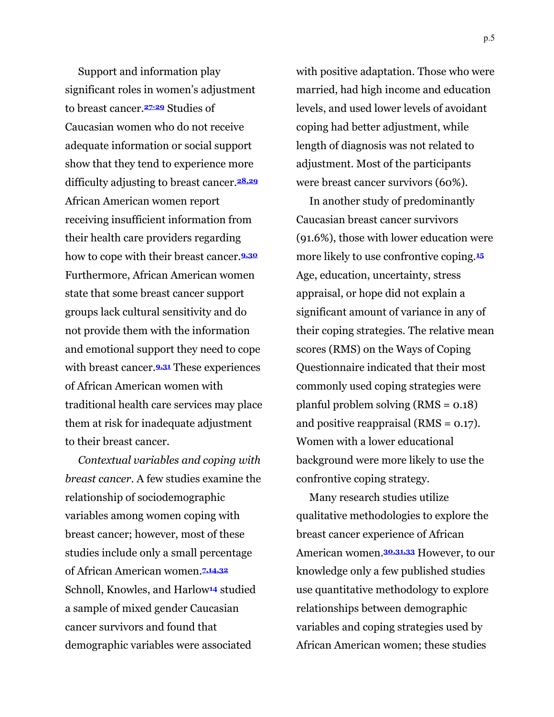Support and information play significant roles in women's adjustment to breast cancer.**27-29** Studies of Caucasian women who do not receive adequate information or social support show that they tend to experience more difficulty adjusting to breast cancer.**28,29** African American women report receiving insufficient information from their health care providers regarding how to cope with their breast cancer.**9,30** Furthermore, African American women state that some breast cancer support groups lack cultural sensitivity and do not provide them with the information and emotional support they need to cope with breast cancer.**9,31** These experiences of African American women with traditional health care services may place them at risk for inadequate adjustment to their breast cancer.

*Contextual variables and coping with breast cancer.* A few studies examine the relationship of sociodemographic variables among women coping with breast cancer; however, most of these studies include only a small percentage of African American women.**7,14,32** Schnoll, Knowles, and Harlow**14** studied a sample of mixed gender Caucasian cancer survivors and found that demographic variables were associated

with positive adaptation. Those who were married, had high income and education levels, and used lower levels of avoidant coping had better adjustment, while length of diagnosis was not related to adjustment. Most of the participants were breast cancer survivors (60%).

In another study of predominantly Caucasian breast cancer survivors (91.6%), those with lower education were more likely to use confrontive coping.**<sup>15</sup>** Age, education, uncertainty, stress appraisal, or hope did not explain a significant amount of variance in any of their coping strategies. The relative mean scores (RMS) on the Ways of Coping Questionnaire indicated that their most commonly used coping strategies were planful problem solving (RMS = 0.18) and positive reappraisal (RMS = 0.17). Women with a lower educational background were more likely to use the confrontive coping strategy.

Many research studies utilize qualitative methodologies to explore the breast cancer experience of African American women.**30,31,33** However, to our knowledge only a few published studies use quantitative methodology to explore relationships between demographic variables and coping strategies used by African American women; these studies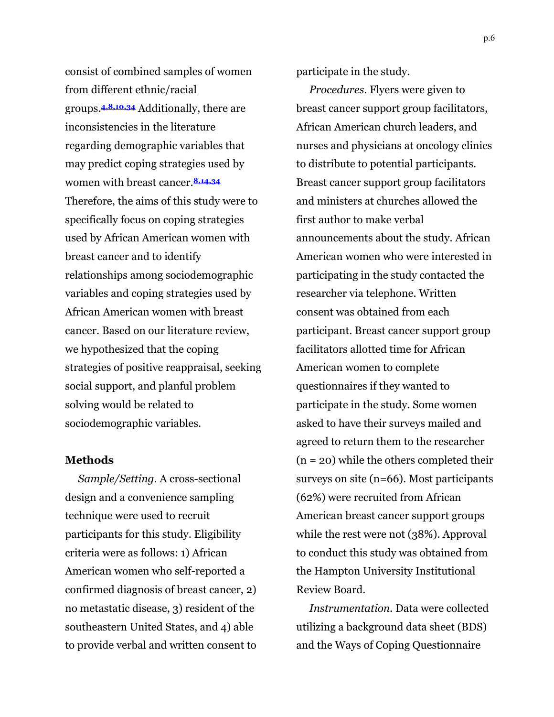consist of combined samples of women from different ethnic/racial groups.**4,8,10,34** Additionally, there are inconsistencies in the literature regarding demographic variables that may predict coping strategies used by women with breast cancer.**8,14,34** Therefore, the aims of this study were to specifically focus on coping strategies used by African American women with breast cancer and to identify relationships among sociodemographic variables and coping strategies used by African American women with breast cancer. Based on our literature review, we hypothesized that the coping strategies of positive reappraisal, seeking social support, and planful problem solving would be related to sociodemographic variables.

#### **Methods**

*Sample/Setting.* A cross-sectional design and a convenience sampling technique were used to recruit participants for this study. Eligibility criteria were as follows: 1) African American women who self-reported a confirmed diagnosis of breast cancer, 2) no metastatic disease, 3) resident of the southeastern United States, and 4) able to provide verbal and written consent to participate in the study.

*Procedures.* Flyers were given to breast cancer support group facilitators, African American church leaders, and nurses and physicians at oncology clinics to distribute to potential participants. Breast cancer support group facilitators and ministers at churches allowed the first author to make verbal announcements about the study. African American women who were interested in participating in the study contacted the researcher via telephone. Written consent was obtained from each participant. Breast cancer support group facilitators allotted time for African American women to complete questionnaires if they wanted to participate in the study. Some women asked to have their surveys mailed and agreed to return them to the researcher  $(n = 20)$  while the others completed their surveys on site (n=66). Most participants (62%) were recruited from African American breast cancer support groups while the rest were not (38%). Approval to conduct this study was obtained from the Hampton University Institutional Review Board.

*Instrumentation.* Data were collected utilizing a background data sheet (BDS) and the Ways of Coping Questionnaire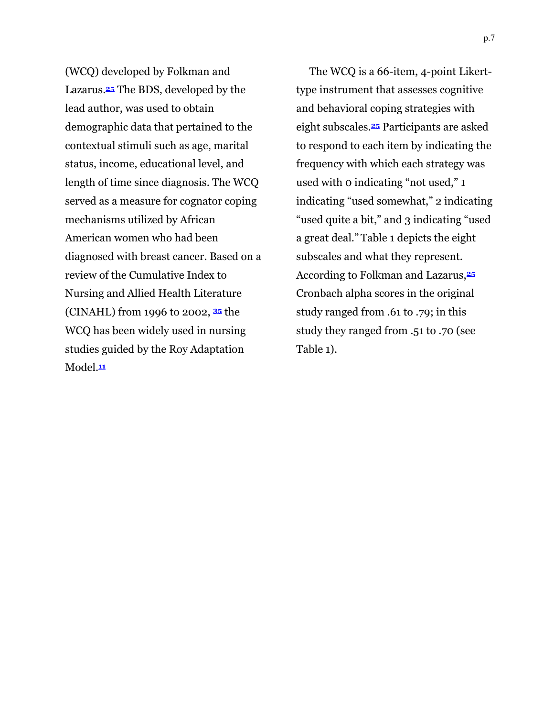(WCQ) developed by Folkman and Lazarus.**25** The BDS, developed by the lead author, was used to obtain demographic data that pertained to the contextual stimuli such as age, marital status, income, educational level, and length of time since diagnosis. The WCQ served as a measure for cognator coping mechanisms utilized by African American women who had been diagnosed with breast cancer. Based on a review of the Cumulative Index to Nursing and Allied Health Literature (CINAHL) from 1996 to 2002, **<sup>35</sup>** the WCQ has been widely used in nursing studies guided by the Roy Adaptation Model.**<sup>11</sup>**

The WCQ is a 66-item, 4-point Likerttype instrument that assesses cognitive and behavioral coping strategies with eight subscales.**25** Participants are asked to respond to each item by indicating the frequency with which each strategy was used with 0 indicating "not used," 1 indicating "used somewhat," 2 indicating "used quite a bit," and 3 indicating "used a great deal." Table 1 depicts the eight subscales and what they represent. According to Folkman and Lazarus,**<sup>25</sup>** Cronbach alpha scores in the original study ranged from .61 to .79; in this study they ranged from .51 to .70 (see Table 1).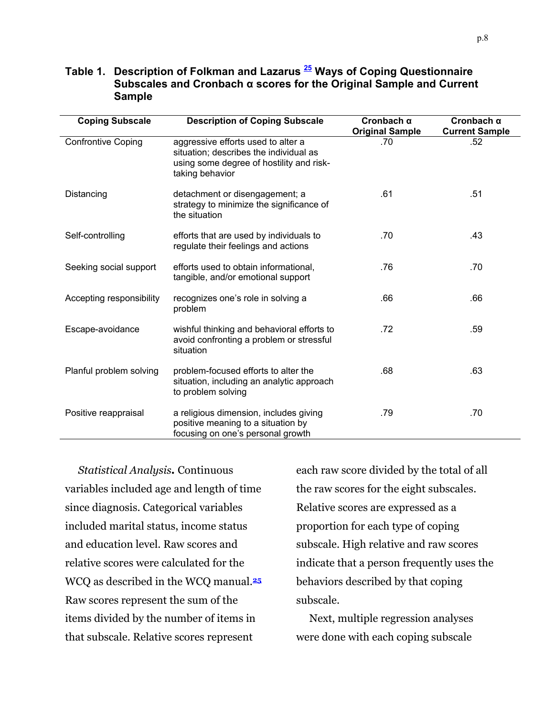| <b>Coping Subscale</b>    | <b>Description of Coping Subscale</b>                                                                                                       | Cronbach $\alpha$<br><b>Original Sample</b> | Cronbach $\alpha$<br><b>Current Sample</b> |
|---------------------------|---------------------------------------------------------------------------------------------------------------------------------------------|---------------------------------------------|--------------------------------------------|
| <b>Confrontive Coping</b> | aggressive efforts used to alter a<br>situation; describes the individual as<br>using some degree of hostility and risk-<br>taking behavior | .70                                         | .52                                        |
| Distancing                | detachment or disengagement; a<br>strategy to minimize the significance of<br>the situation                                                 | .61                                         | .51                                        |
| Self-controlling          | efforts that are used by individuals to<br>regulate their feelings and actions                                                              | .70                                         | .43                                        |
| Seeking social support    | efforts used to obtain informational,<br>tangible, and/or emotional support                                                                 | .76                                         | .70                                        |
| Accepting responsibility  | recognizes one's role in solving a<br>problem                                                                                               | .66                                         | .66                                        |
| Escape-avoidance          | wishful thinking and behavioral efforts to<br>avoid confronting a problem or stressful<br>situation                                         | .72                                         | .59                                        |
| Planful problem solving   | problem-focused efforts to alter the<br>situation, including an analytic approach<br>to problem solving                                     | .68                                         | .63                                        |
| Positive reappraisal      | a religious dimension, includes giving<br>positive meaning to a situation by<br>focusing on one's personal growth                           | .79                                         | .70                                        |

## **Table 1. Description of Folkman and Lazarus 25 Ways of Coping Questionnaire Subscales and Cronbach α scores for the Original Sample and Current Sample**

*Statistical Analysis.* Continuous variables included age and length of time since diagnosis. Categorical variables included marital status, income status and education level. Raw scores and relative scores were calculated for the WCQ as described in the WCQ manual.**<sup>25</sup>** Raw scores represent the sum of the items divided by the number of items in that subscale. Relative scores represent

each raw score divided by the total of all the raw scores for the eight subscales. Relative scores are expressed as a proportion for each type of coping subscale. High relative and raw scores indicate that a person frequently uses the behaviors described by that coping subscale.

Next, multiple regression analyses were done with each coping subscale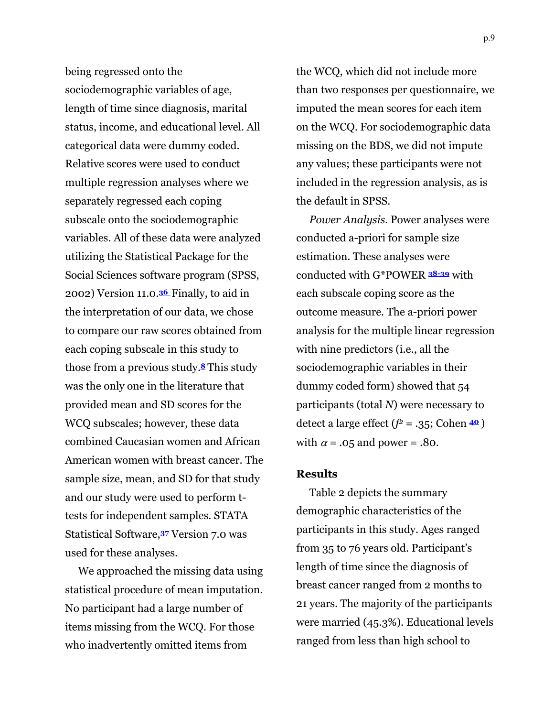being regressed onto the sociodemographic variables of age, length of time since diagnosis, marital status, income, and educational level. All categorical data were dummy coded. Relative scores were used to conduct multiple regression analyses where we separately regressed each coping subscale onto the sociodemographic variables. All of these data were analyzed utilizing the Statistical Package for the Social Sciences software program (SPSS, 2002) Version 11.0.**<sup>36</sup>** Finally, to aid in the interpretation of our data, we chose to compare our raw scores obtained from each coping subscale in this study to those from a previous study.**<sup>8</sup>** This study was the only one in the literature that provided mean and SD scores for the WCQ subscales; however, these data combined Caucasian women and African American women with breast cancer. The sample size, mean, and SD for that study and our study were used to perform ttests for independent samples. STATA Statistical Software,**37** Version 7.0 was used for these analyses.

We approached the missing data using statistical procedure of mean imputation. No participant had a large number of items missing from the WCQ. For those who inadvertently omitted items from

the WCQ, which did not include more than two responses per questionnaire, we imputed the mean scores for each item on the WCQ. For sociodemographic data missing on the BDS, we did not impute any values; these participants were not included in the regression analysis, as is the default in SPSS.

*Power Analysis.* Power analyses were conducted a-priori for sample size estimation. These analyses were conducted with G\*POWER **38-39** with each subscale coping score as the outcome measure. The a-priori power analysis for the multiple linear regression with nine predictors (i.e., all the sociodemographic variables in their dummy coded form) showed that 54 participants (total *N*) were necessary to detect a large effect  $(f^2 = .35; \text{Cohen } 49)$ with  $\alpha$  = .05 and power = .80.

#### **Results**

Table 2 depicts the summary demographic characteristics of the participants in this study. Ages ranged from 35 to 76 years old. Participant's length of time since the diagnosis of breast cancer ranged from 2 months to 21 years. The majority of the participants were married (45.3%). Educational levels ranged from less than high school to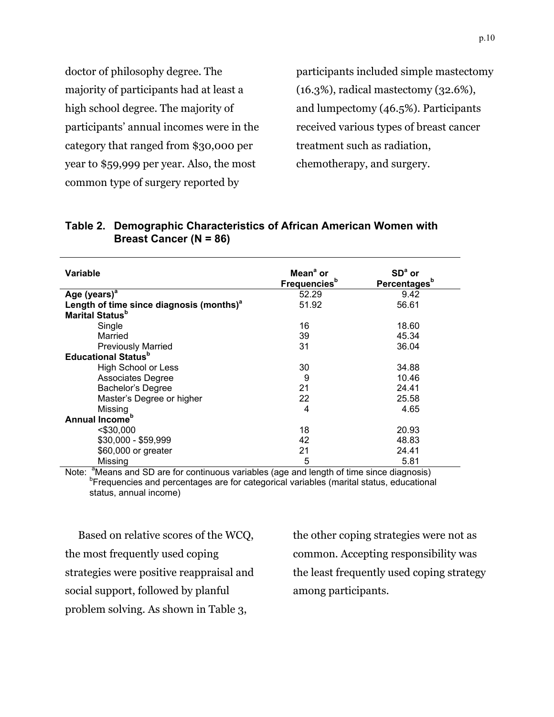doctor of philosophy degree. The majority of participants had at least a high school degree. The majority of participants' annual incomes were in the category that ranged from \$30,000 per year to \$59,999 per year. Also, the most common type of surgery reported by

participants included simple mastectomy (16.3%), radical mastectomy (32.6%), and lumpectomy (46.5%). Participants received various types of breast cancer treatment such as radiation, chemotherapy, and surgery.

| Variable                                             | Mean <sup>ª</sup> or            | $SDa$ or                 |
|------------------------------------------------------|---------------------------------|--------------------------|
|                                                      | <b>Frequencies</b> <sup>b</sup> | Percentages <sup>b</sup> |
| Age (years) <sup>a</sup>                             | 52.29                           | 9.42                     |
| Length of time since diagnosis (months) <sup>a</sup> | 51.92                           | 56.61                    |
| Marital Status <sup>b</sup>                          |                                 |                          |
| Single                                               | 16                              | 18.60                    |
| Married                                              | 39                              | 45.34                    |
| <b>Previously Married</b>                            | 31                              | 36.04                    |
| <b>Educational Status</b> <sup>b</sup>               |                                 |                          |
| High School or Less                                  | 30                              | 34.88                    |
| <b>Associates Degree</b>                             | 9                               | 10.46                    |
| Bachelor's Degree                                    | 21                              | 24.41                    |
| Master's Degree or higher                            | 22                              | 25.58                    |
| Missing                                              | 4                               | 4.65                     |
| Annual Income <sup>b</sup>                           |                                 |                          |
| $<$ \$30.000                                         | 18                              | 20.93                    |
| $$30,000 - $59,999$                                  | 42                              | 48.83                    |
| \$60,000 or greater                                  | 21                              | 24.41                    |
| Missing                                              | 5                               | 5.81                     |

#### **Table 2. Demographic Characteristics of African American Women with Breast Cancer (N = 86)**

Note: <sup>a</sup>Means and SD are for continuous variables (age and length of time since diagnosis)<br><sup>b</sup>Frequencies and percentages are for categorical variables (marital status, educational status, annual income)

Based on relative scores of the WCQ, the most frequently used coping strategies were positive reappraisal and social support, followed by planful problem solving. As shown in Table 3,

the other coping strategies were not as common. Accepting responsibility was the least frequently used coping strategy among participants.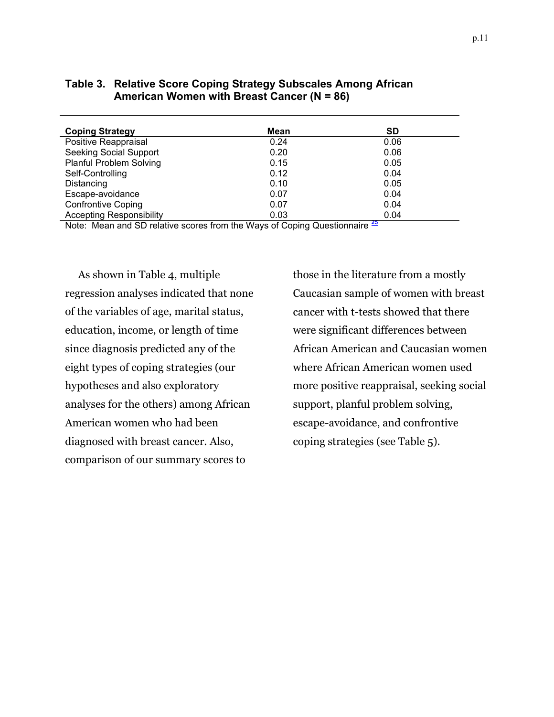| <b>Coping Strategy</b>          | Mean | SD          |
|---------------------------------|------|-------------|
| Positive Reappraisal            | 0.24 | 0.06        |
| <b>Seeking Social Support</b>   | 0.20 | 0.06        |
| <b>Planful Problem Solving</b>  | 0.15 | 0.05        |
| Self-Controlling                | 0.12 | 0.04        |
| Distancing                      | 0.10 | 0.05        |
| Escape-avoidance                | 0.07 | 0.04        |
| <b>Confrontive Coping</b>       | 0.07 | 0.04        |
| <b>Accepting Responsibility</b> | 0.03 | 0.04<br>. . |

#### **Table 3. Relative Score Coping Strategy Subscales Among African American Women with Breast Cancer (N = 86)**

Note: Mean and SD relative scores from the Ways of Coping Questionnaire **<sup>25</sup>**

As shown in Table 4, multiple regression analyses indicated that none of the variables of age, marital status, education, income, or length of time since diagnosis predicted any of the eight types of coping strategies (our hypotheses and also exploratory analyses for the others) among African American women who had been diagnosed with breast cancer. Also, comparison of our summary scores to

those in the literature from a mostly Caucasian sample of women with breast cancer with t-tests showed that there were significant differences between African American and Caucasian women where African American women used more positive reappraisal, seeking social support, planful problem solving, escape-avoidance, and confrontive coping strategies (see Table 5).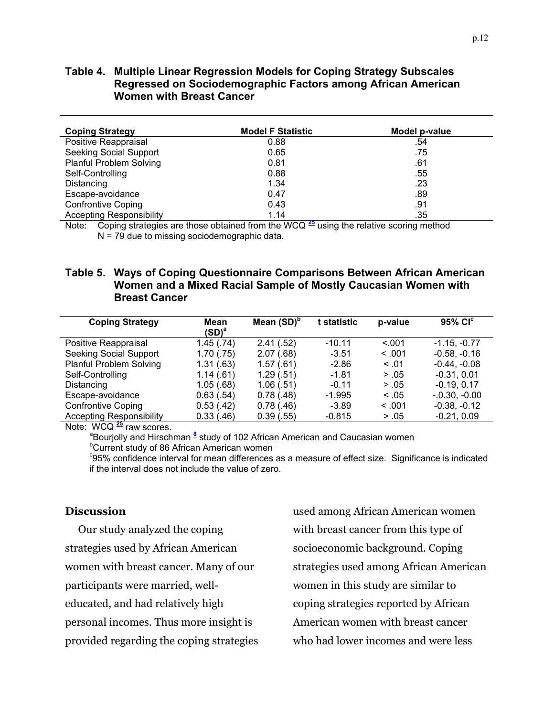#### **Table 4. Multiple Linear Regression Models for Coping Strategy Subscales Regressed on Sociodemographic Factors among African American Women with Breast Cancer**

| <b>Coping Strategy</b>          | <b>Model F Statistic</b> | Model p-value |
|---------------------------------|--------------------------|---------------|
| Positive Reappraisal            | 0.88                     | .54           |
| Seeking Social Support          | 0.65                     | .75           |
| <b>Planful Problem Solving</b>  | 0.81                     | .61           |
| Self-Controlling                | 0.88                     | .55           |
| Distancing                      | 1.34                     | .23           |
| Escape-avoidance                | 0.47                     | .89           |
| <b>Confrontive Coping</b>       | 0.43                     | .91           |
| <b>Accepting Responsibility</b> | 1.14                     | .35           |

Note: Coping strategies are those obtained from the WCQ **<sup>25</sup>** using the relative scoring method N = 79 due to missing sociodemographic data.

#### **Table 5. Ways of Coping Questionnaire Comparisons Between African American Women and a Mixed Racial Sample of Mostly Caucasian Women with Breast Cancer**

| <b>Coping Strategy</b>          | Mean<br>$\mathsf{(SD)}^{\mathsf{a}}$ | Mean $(SD)^b$ | t statistic | p-value | $95\%$ $CIc$   |
|---------------------------------|--------------------------------------|---------------|-------------|---------|----------------|
| Positive Reappraisal            | 1.45(.74)                            | 2.41(.52)     | $-10.11$    | < 0.01  | $-1.15, -0.77$ |
| <b>Seeking Social Support</b>   | 1.70(.75)                            | 2.07(.68)     | $-3.51$     | < 0.01  | $-0.58, -0.16$ |
| <b>Planful Problem Solving</b>  | 1.31(.63)                            | 1.57(.61)     | $-2.86$     | < 0.01  | $-0.44, -0.08$ |
| Self-Controlling                | 1.14(.61)                            | 1.29(.51)     | $-1.81$     | > .05   | $-0.31, 0.01$  |
| Distancing                      | 1.05(.68)                            | 1.06(.51)     | $-0.11$     | > .05   | $-0.19, 0.17$  |
| Escape-avoidance                | 0.63(.54)                            | 0.78(.48)     | $-1.995$    | < 0.05  | $-0.30, -0.00$ |
| <b>Confrontive Coping</b>       | 0.53(.42)                            | 0.78(.46)     | $-3.89$     | < 0.01  | $-0.38, -0.12$ |
| <b>Accepting Responsibility</b> | 0.33(0.46)                           | 0.39(.55)     | $-0.815$    | > .05   | $-0.21, 0.09$  |
| 11111222                        |                                      |               |             |         |                |

Note: WCQ <sup>25</sup> raw scores.

Bourjolly and Hirschman <sup>8</sup> study of 102 African American and Caucasian women <sup>b</sup>Current study of 86 African American women

<sup>c</sup>95% confidence interval for mean differences as a measure of effect size. Significance is indicated if the interval does not include the value of zero.

#### **Discussion**

Our study analyzed the coping strategies used by African American women with breast cancer. Many of our participants were married, welleducated, and had relatively high personal incomes. Thus more insight is provided regarding the coping strategies

used among African American women with breast cancer from this type of socioeconomic background. Coping strategies used among African American women in this study are similar to coping strategies reported by African American women with breast cancer who had lower incomes and were less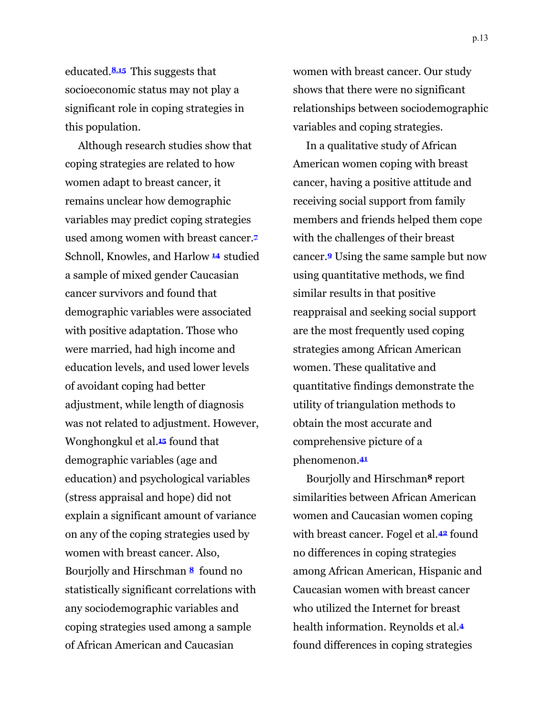educated.**8**,**15** This suggests that socioeconomic status may not play a significant role in coping strategies in this population.

Although research studies show that coping strategies are related to how women adapt to breast cancer, it remains unclear how demographic variables may predict coping strategies used among women with breast cancer.**<sup>7</sup>** Schnoll, Knowles, and Harlow **<sup>14</sup>** studied a sample of mixed gender Caucasian cancer survivors and found that demographic variables were associated with positive adaptation. Those who were married, had high income and education levels, and used lower levels of avoidant coping had better adjustment, while length of diagnosis was not related to adjustment. However, Wonghongkul et al.**<sup>15</sup>** found that demographic variables (age and education) and psychological variables (stress appraisal and hope) did not explain a significant amount of variance on any of the coping strategies used by women with breast cancer. Also, Bourjolly and Hirschman **<sup>8</sup>** found no statistically significant correlations with any sociodemographic variables and coping strategies used among a sample of African American and Caucasian

women with breast cancer. Our study shows that there were no significant relationships between sociodemographic variables and coping strategies.

In a qualitative study of African American women coping with breast cancer, having a positive attitude and receiving social support from family members and friends helped them cope with the challenges of their breast cancer.**<sup>9</sup>** Using the same sample but now using quantitative methods, we find similar results in that positive reappraisal and seeking social support are the most frequently used coping strategies among African American women. These qualitative and quantitative findings demonstrate the utility of triangulation methods to obtain the most accurate and comprehensive picture of a phenomenon.**<sup>41</sup>**

Bourjolly and Hirschman**8** report similarities between African American women and Caucasian women coping with breast cancer. Fogel et al.**42** found no differences in coping strategies among African American, Hispanic and Caucasian women with breast cancer who utilized the Internet for breast health information. Reynolds et al.**<sup>4</sup>** found differences in coping strategies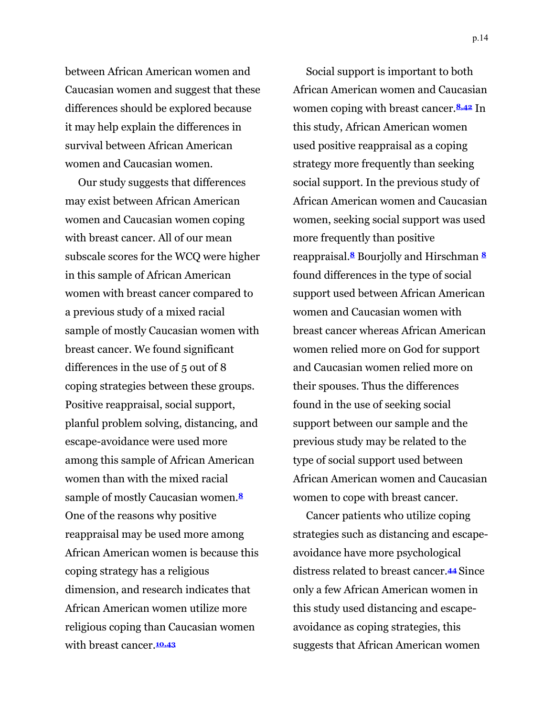between African American women and Caucasian women and suggest that these differences should be explored because it may help explain the differences in survival between African American women and Caucasian women.

Our study suggests that differences may exist between African American women and Caucasian women coping with breast cancer. All of our mean subscale scores for the WCQ were higher in this sample of African American women with breast cancer compared to a previous study of a mixed racial sample of mostly Caucasian women with breast cancer. We found significant differences in the use of 5 out of 8 coping strategies between these groups. Positive reappraisal, social support, planful problem solving, distancing, and escape-avoidance were used more among this sample of African American women than with the mixed racial sample of mostly Caucasian women.**<sup>8</sup>** One of the reasons why positive reappraisal may be used more among African American women is because this coping strategy has a religious dimension, and research indicates that African American women utilize more religious coping than Caucasian women with breast cancer.**10,43**

Social support is important to both African American women and Caucasian women coping with breast cancer.**8,42** In this study, African American women used positive reappraisal as a coping strategy more frequently than seeking social support. In the previous study of African American women and Caucasian women, seeking social support was used more frequently than positive reappraisal.**8** Bourjolly and Hirschman **<sup>8</sup>** found differences in the type of social support used between African American women and Caucasian women with breast cancer whereas African American women relied more on God for support and Caucasian women relied more on their spouses. Thus the differences found in the use of seeking social support between our sample and the previous study may be related to the type of social support used between African American women and Caucasian women to cope with breast cancer.

Cancer patients who utilize coping strategies such as distancing and escapeavoidance have more psychological distress related to breast cancer.**<sup>44</sup>** Since only a few African American women in this study used distancing and escapeavoidance as coping strategies, this suggests that African American women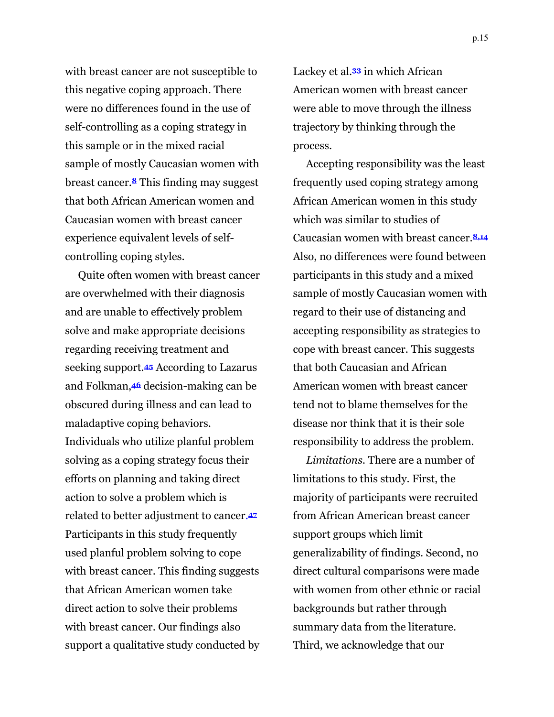with breast cancer are not susceptible to this negative coping approach. There were no differences found in the use of self-controlling as a coping strategy in this sample or in the mixed racial sample of mostly Caucasian women with breast cancer.**<sup>8</sup>** This finding may suggest that both African American women and Caucasian women with breast cancer experience equivalent levels of selfcontrolling coping styles.

Quite often women with breast cancer are overwhelmed with their diagnosis and are unable to effectively problem solve and make appropriate decisions regarding receiving treatment and seeking support.**<sup>45</sup>** According to Lazarus and Folkman,**46** decision-making can be obscured during illness and can lead to maladaptive coping behaviors. Individuals who utilize planful problem solving as a coping strategy focus their efforts on planning and taking direct action to solve a problem which is related to better adjustment to cancer.**<sup>47</sup>** Participants in this study frequently used planful problem solving to cope with breast cancer. This finding suggests that African American women take direct action to solve their problems with breast cancer. Our findings also support a qualitative study conducted by

Lackey et al.**33** in which African American women with breast cancer were able to move through the illness trajectory by thinking through the process.

Accepting responsibility was the least frequently used coping strategy among African American women in this study which was similar to studies of Caucasian women with breast cancer.**8,14** Also, no differences were found between participants in this study and a mixed sample of mostly Caucasian women with regard to their use of distancing and accepting responsibility as strategies to cope with breast cancer. This suggests that both Caucasian and African American women with breast cancer tend not to blame themselves for the disease nor think that it is their sole responsibility to address the problem.

*Limitations.* There are a number of limitations to this study. First, the majority of participants were recruited from African American breast cancer support groups which limit generalizability of findings. Second, no direct cultural comparisons were made with women from other ethnic or racial backgrounds but rather through summary data from the literature. Third, we acknowledge that our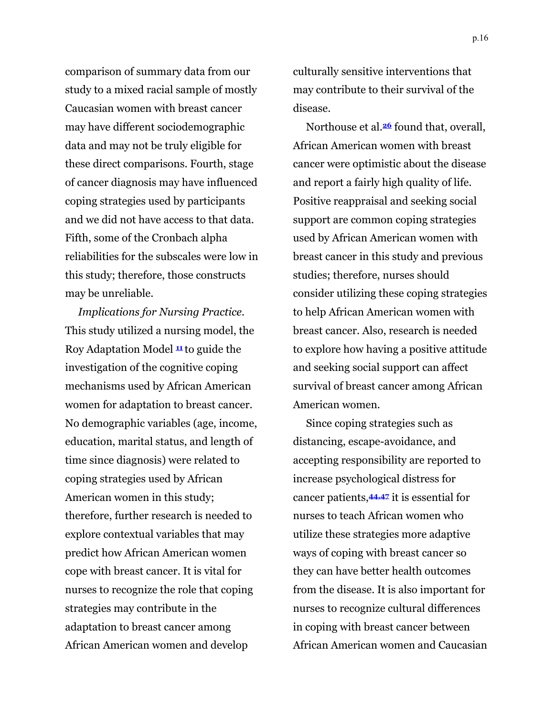comparison of summary data from our study to a mixed racial sample of mostly Caucasian women with breast cancer may have different sociodemographic data and may not be truly eligible for these direct comparisons. Fourth, stage of cancer diagnosis may have influenced coping strategies used by participants and we did not have access to that data. Fifth, some of the Cronbach alpha reliabilities for the subscales were low in this study; therefore, those constructs may be unreliable.

*Implications for Nursing Practice.*  This study utilized a nursing model, the Roy Adaptation Model **<sup>11</sup>** to guide the investigation of the cognitive coping mechanisms used by African American women for adaptation to breast cancer. No demographic variables (age, income, education, marital status, and length of time since diagnosis) were related to coping strategies used by African American women in this study; therefore, further research is needed to explore contextual variables that may predict how African American women cope with breast cancer. It is vital for nurses to recognize the role that coping strategies may contribute in the adaptation to breast cancer among African American women and develop

culturally sensitive interventions that may contribute to their survival of the disease.

Northouse et al.**26** found that, overall, African American women with breast cancer were optimistic about the disease and report a fairly high quality of life. Positive reappraisal and seeking social support are common coping strategies used by African American women with breast cancer in this study and previous studies; therefore, nurses should consider utilizing these coping strategies to help African American women with breast cancer. Also, research is needed to explore how having a positive attitude and seeking social support can affect survival of breast cancer among African American women.

Since coping strategies such as distancing, escape-avoidance, and accepting responsibility are reported to increase psychological distress for cancer patients,**44,47** it is essential for nurses to teach African women who utilize these strategies more adaptive ways of coping with breast cancer so they can have better health outcomes from the disease. It is also important for nurses to recognize cultural differences in coping with breast cancer between African American women and Caucasian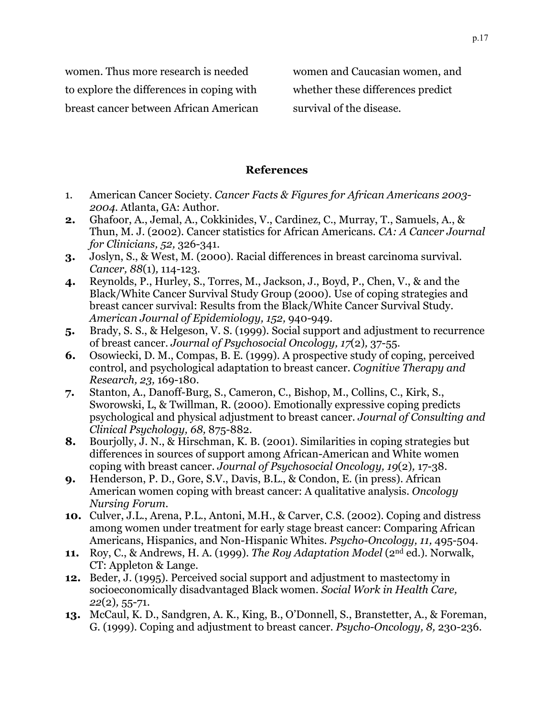women. Thus more research is needed to explore the differences in coping with breast cancer between African American women and Caucasian women, and whether these differences predict survival of the disease.

#### **References**

- 1. American Cancer Society. *Cancer Facts & Figures for African Americans 2003- 2004.* Atlanta, GA: Author.
- **2.** Ghafoor, A., Jemal, A., Cokkinides, V., Cardinez, C., Murray, T., Samuels, A., & Thun, M. J. (2002). Cancer statistics for African Americans. *CA: A Cancer Journal for Clinicians, 52,* 326-341.
- **3.** Joslyn, S., & West, M. (2000). Racial differences in breast carcinoma survival. *Cancer, 88*(1)*,* 114-123.
- **4.** Reynolds, P., Hurley, S., Torres, M., Jackson, J., Boyd, P., Chen, V., & and the Black/White Cancer Survival Study Group (2000). Use of coping strategies and breast cancer survival: Results from the Black/White Cancer Survival Study. *American Journal of Epidemiology, 152,* 940-949.
- **5.** Brady, S. S., & Helgeson, V. S. (1999). Social support and adjustment to recurrence of breast cancer. *Journal of Psychosocial Oncology, 17*(2)*,* 37-55.
- **6.** Osowiecki, D. M., Compas, B. E. (1999). A prospective study of coping, perceived control, and psychological adaptation to breast cancer. *Cognitive Therapy and Research, 23,* 169-180.
- **7.** Stanton, A., Danoff-Burg, S., Cameron, C., Bishop, M., Collins, C., Kirk, S., Sworowski, L, & Twillman, R. (2000). Emotionally expressive coping predicts psychological and physical adjustment to breast cancer. *Journal of Consulting and Clinical Psychology, 68,* 875-882.
- **8.** Bourjolly, J. N., & Hirschman, K. B. (2001). Similarities in coping strategies but differences in sources of support among African-American and White women coping with breast cancer. *Journal of Psychosocial Oncology, 19*(2)*,* 17-38.
- **9.** Henderson, P. D., Gore, S.V., Davis, B.L., & Condon, E. (in press). African American women coping with breast cancer: A qualitative analysis. *Oncology Nursing Forum*.
- **10.** Culver, J.L., Arena, P.L., Antoni, M.H., & Carver, C.S. (2002). Coping and distress among women under treatment for early stage breast cancer: Comparing African Americans, Hispanics, and Non-Hispanic Whites. *Psycho-Oncology, 11,* 495-504.
- **11.** Roy, C., & Andrews, H. A. (1999). *The Roy Adaptation Model* (2nd ed.). Norwalk, CT: Appleton & Lange.
- **12.** Beder, J. (1995). Perceived social support and adjustment to mastectomy in socioeconomically disadvantaged Black women. *Social Work in Health Care, 22*(2)*,* 55-71.
- **13.** McCaul, K. D., Sandgren, A. K., King, B., O'Donnell, S., Branstetter, A., & Foreman, G. (1999). Coping and adjustment to breast cancer. *Psycho-Oncology, 8,* 230-236.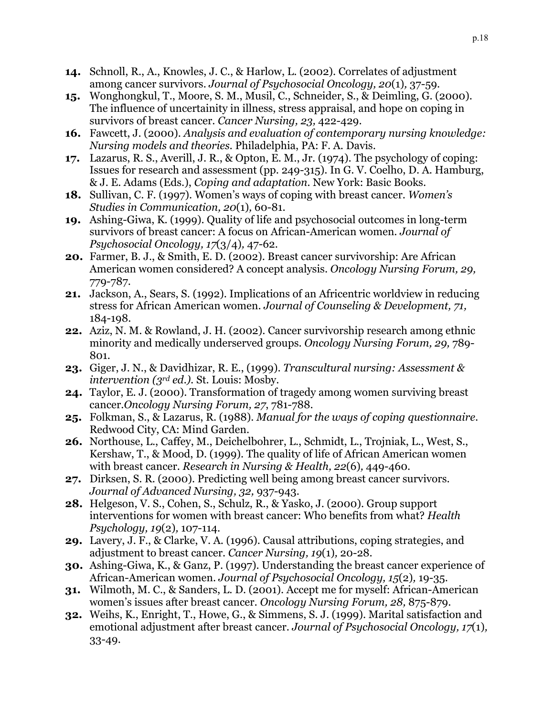- **14.** Schnoll, R., A., Knowles, J. C., & Harlow, L. (2002). Correlates of adjustment among cancer survivors. *Journal of Psychosocial Oncology, 20*(1)*,* 37-59.
- **15.** Wonghongkul, T., Moore, S. M., Musil, C., Schneider, S., & Deimling, G. (2000). The influence of uncertainity in illness, stress appraisal, and hope on coping in survivors of breast cancer. *Cancer Nursing, 23,* 422-429.
- **16.** Fawcett, J. (2000). *Analysis and evaluation of contemporary nursing knowledge: Nursing models and theories.* Philadelphia, PA: F. A. Davis.
- **17.** Lazarus, R. S., Averill, J. R., & Opton, E. M., Jr. (1974). The psychology of coping: Issues for research and assessment (pp. 249-315). In G. V. Coelho, D. A. Hamburg, & J. E. Adams (Eds.), *Coping and adaptation.* New York: Basic Books.
- **18.** Sullivan, C. F. (1997). Women's ways of coping with breast cancer. *Women's Studies in Communication, 20*(1)*,* 60-81.
- **19.** Ashing-Giwa, K. (1999). Quality of life and psychosocial outcomes in long-term survivors of breast cancer: A focus on African-American women. *Journal of Psychosocial Oncology, 17*(3/4)*,* 47-62.
- **20.** Farmer, B. J., & Smith, E. D. (2002). Breast cancer survivorship: Are African American women considered? A concept analysis. *Oncology Nursing Forum, 29,*  779-787.
- **21.** Jackson, A., Sears, S. (1992). Implications of an Africentric worldview in reducing stress for African American women. *Journal of Counseling & Development, 71,* 184-198.
- **22.** Aziz, N. M. & Rowland, J. H. (2002). Cancer survivorship research among ethnic minority and medically underserved groups. *Oncology Nursing Forum, 29,* 789- 801.
- **23.** Giger, J. N., & Davidhizar, R. E., (1999). *Transcultural nursing: Assessment & intervention (3rd ed.).* St. Louis: Mosby.
- **24.** Taylor, E. J. (2000). Transformation of tragedy among women surviving breast cancer.*Oncology Nursing Forum, 27*, 781-788.
- **25.** Folkman, S., & Lazarus, R. (1988). *Manual for the ways of coping questionnaire*. Redwood City, CA: Mind Garden.
- **26.** Northouse, L., Caffey, M., Deichelbohrer, L., Schmidt, L., Trojniak, L., West, S., Kershaw, T., & Mood, D. (1999). The quality of life of African American women with breast cancer. *Research in Nursing & Health, 22*(6)*,* 449-460.
- **27.** Dirksen, S. R. (2000). Predicting well being among breast cancer survivors. *Journal of Advanced Nursing, 32,* 937-943.
- **28.** Helgeson, V. S., Cohen, S., Schulz, R., & Yasko, J. (2000). Group support interventions for women with breast cancer: Who benefits from what? *Health Psychology, 19*(2)*,* 107-114.
- **29.** Lavery, J. F., & Clarke, V. A. (1996). Causal attributions, coping strategies, and adjustment to breast cancer. *Cancer Nursing, 19*(1)*,* 20-28.
- **30.** Ashing-Giwa, K., & Ganz, P. (1997). Understanding the breast cancer experience of African-American women. *Journal of Psychosocial Oncology, 15*(2)*,* 19-35.
- **31.** Wilmoth, M. C., & Sanders, L. D. (2001). Accept me for myself: African-American women's issues after breast cancer*. Oncology Nursing Forum, 28,* 875-879.
- **32.** Weihs, K., Enright, T., Howe, G., & Simmens, S. J. (1999). Marital satisfaction and emotional adjustment after breast cancer. *Journal of Psychosocial Oncology, 17*(1)*,*  33-49.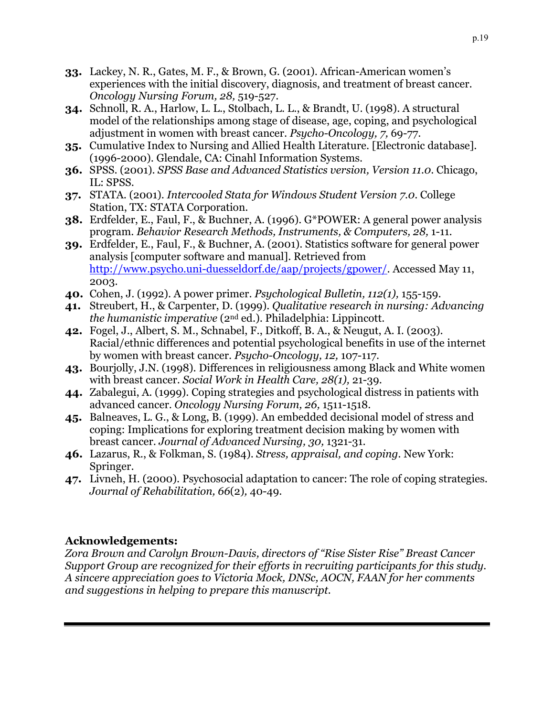- **33.** Lackey, N. R., Gates, M. F., & Brown, G. (2001). African-American women's experiences with the initial discovery, diagnosis, and treatment of breast cancer. *Oncology Nursing Forum, 28,* 519-527.
- **34.** Schnoll, R. A., Harlow, L. L., Stolbach, L. L., & Brandt, U. (1998). A structural model of the relationships among stage of disease, age, coping, and psychological adjustment in women with breast cancer. *Psycho-Oncology, 7,* 69-77.
- **35.** Cumulative Index to Nursing and Allied Health Literature. [Electronic database]. (1996-2000). Glendale, CA: Cinahl Information Systems.
- **36.** SPSS. (2001). *SPSS Base and Advanced Statistics version, Version 11.0*. Chicago, IL: SPSS.
- **37.** STATA. (2001). *Intercooled Stata for Windows Student Version 7.0*. College Station, TX: STATA Corporation.
- **38.** Erdfelder, E., Faul, F., & Buchner, A. (1996). G\*POWER: A general power analysis program. *Behavior Research Methods, Instruments, & Computers, 28,* 1-11.
- **39.** Erdfelder, E., Faul, F., & Buchner, A. (2001). Statistics software for general power analysis [computer software and manual]. Retrieved from [http://www.psycho.uni-duesseldorf.de/aap/projects/gpower/.](http://www.psycho.uni-duesseldorf.de/aap/projects/gpower/) Accessed May 11, 2003.
- **40.** Cohen, J. (1992). A power primer. *Psychological Bulletin, 112(1),* 155-159.
- **41.** Streubert, H., & Carpenter, D. (1999). *Qualitative research in nursing: Advancing the humanistic imperative* (2nd ed.). Philadelphia: Lippincott.
- **42.** Fogel, J., Albert, S. M., Schnabel, F., Ditkoff, B. A., & Neugut, A. I. (2003). Racial/ethnic differences and potential psychological benefits in use of the internet by women with breast cancer. *Psycho-Oncology, 12,* 107-117.
- **43.** Bourjolly, J.N. (1998). Differences in religiousness among Black and White women with breast cancer. *Social Work in Health Care, 28(1),* 21-39.
- **44.** Zabalegui, A. (1999). Coping strategies and psychological distress in patients with advanced cancer. *Oncology Nursing Forum, 26,* 1511-1518.
- **45.** Balneaves, L. G., & Long, B. (1999). An embedded decisional model of stress and coping: Implications for exploring treatment decision making by women with breast cancer. *Journal of Advanced Nursing, 30,* 1321-31.
- **46.** Lazarus, R., & Folkman, S. (1984). *Stress, appraisal, and coping.* New York: Springer.
- **47.** Livneh, H. (2000). Psychosocial adaptation to cancer: The role of coping strategies. *Journal of Rehabilitation, 66*(2)*,* 40-49.

## **Acknowledgements:**

*Zora Brown and Carolyn Brown-Davis, directors of "Rise Sister Rise" Breast Cancer Support Group are recognized for their efforts in recruiting participants for this study. A sincere appreciation goes to Victoria Mock, DNSc, AOCN, FAAN for her comments and suggestions in helping to prepare this manuscript.*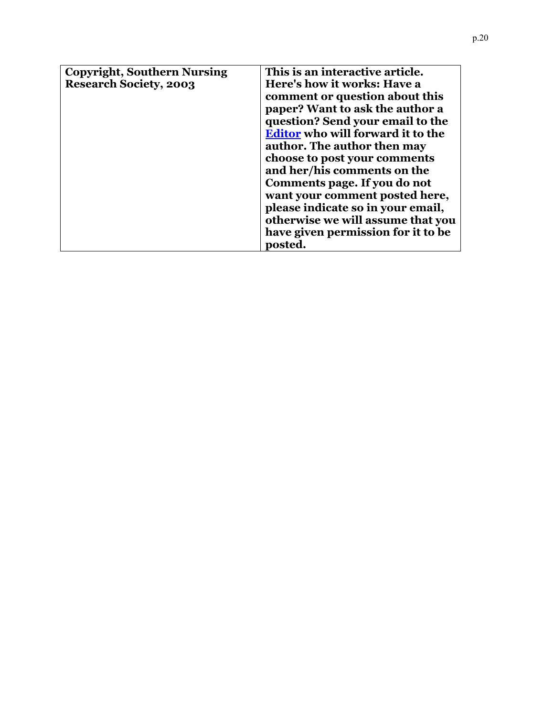| <b>Copyright, Southern Nursing</b> | This is an interactive article.          |
|------------------------------------|------------------------------------------|
| <b>Research Society, 2003</b>      | Here's how it works: Have a              |
|                                    | comment or question about this           |
|                                    | paper? Want to ask the author a          |
|                                    | question? Send your email to the         |
|                                    | <b>Editor</b> who will forward it to the |
|                                    | author. The author then may              |
|                                    | choose to post your comments             |
|                                    | and her/his comments on the              |
|                                    | Comments page. If you do not             |
|                                    | want your comment posted here,           |
|                                    | please indicate so in your email,        |
|                                    | otherwise we will assume that you        |
|                                    | have given permission for it to be       |
|                                    | posted.                                  |